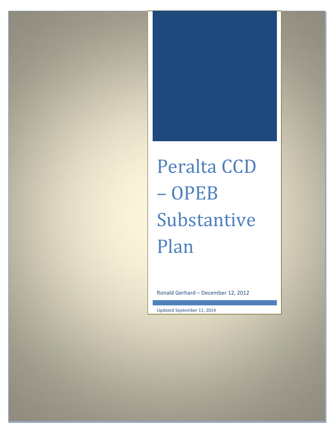# Peralta CCD – OPEB Substantive Plan

Ronald Gerhard – December 12, 2012

Updated September 11, 2014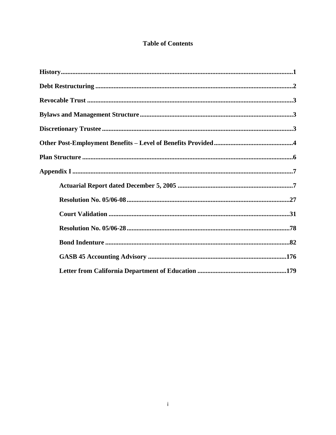# **Table of Contents**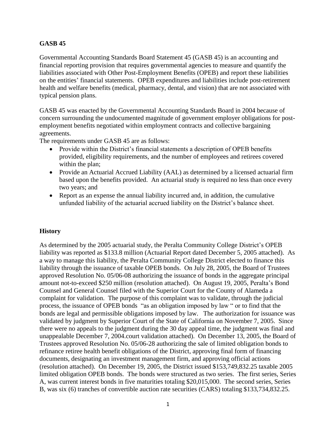# **GASB 45**

Governmental Accounting Standards Board Statement 45 (GASB 45) is an accounting and financial reporting provision that requires governmental agencies to measure and quantify the liabilities associated with Other Post-Employment Benefits (OPEB) and report these liabilities on the entities' financial statements. OPEB expenditures and liabilities include post-retirement health and welfare benefits (medical, pharmacy, dental, and vision) that are not associated with typical pension plans.

GASB 45 was enacted by the Governmental Accounting Standards Board in 2004 because of concern surrounding the undocumented magnitude of government employer obligations for postemployment benefits negotiated within employment contracts and collective bargaining agreements.

The requirements under GASB 45 are as follows:

- Provide within the District's financial statements a description of OPEB benefits provided, eligibility requirements, and the number of employees and retirees covered within the plan;
- Provide an Actuarial Accrued Liability (AAL) as determined by a licensed actuarial firm based upon the benefits provided. An actuarial study is required no less than once every two years; and
- Report as an expense the annual liability incurred and, in addition, the cumulative unfunded liability of the actuarial accrued liability on the District's balance sheet.

# **History**

As determined by the 2005 actuarial study, the Peralta Community College District's OPEB liability was reported as \$133.8 million (Actuarial Report dated December 5, 2005 attached). As a way to manage this liability, the Peralta Community College District elected to finance this liability through the issuance of taxable OPEB bonds. On July 28, 2005, the Board of Trustees approved Resolution No. 05/06-08 authorizing the issuance of bonds in the aggregate principal amount not-to-exceed \$250 million (resolution attached). On August 19, 2005, Peralta's Bond Counsel and General Counsel filed with the Superior Court for the County of Alameda a complaint for validation. The purpose of this complaint was to validate, through the judicial process, the issuance of OPEB bonds "as an obligation imposed by law " or to find that the bonds are legal and permissible obligations imposed by law. The authorization for issuance was validated by judgment by Superior Court of the State of California on November 7, 2005. Since there were no appeals to the judgment during the 30 day appeal time, the judgment was final and unappealable December 7, 2004.court validation attached). On December 13, 2005, the Board of Trustees approved Resolution No. 05/06-28 authorizing the sale of limited obligation bonds to refinance retiree health benefit obligations of the District, approving final form of financing documents, designating an investment management firm, and approving official actions (resolution attached). On December 19, 2005, the District issued \$153,749,832.25 taxable 2005 limited obligation OPEB bonds. The bonds were structured as two series. The first series, Series A, was current interest bonds in five maturities totaling \$20,015,000. The second series, Series B, was six (6) tranches of convertible auction rate securities (CARS) totaling \$133,734,832.25.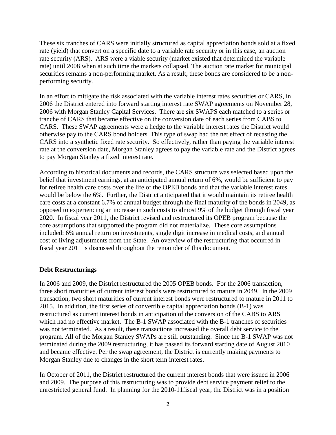These six tranches of CARS were initially structured as capital appreciation bonds sold at a fixed rate (yield) that convert on a specific date to a variable rate security or in this case, an auction rate security (ARS). ARS were a viable security (market existed that determined the variable rate) until 2008 when at such time the markets collapsed. The auction rate market for municipal securities remains a non-performing market. As a result, these bonds are considered to be a nonperforming security.

In an effort to mitigate the risk associated with the variable interest rates securities or CARS, in 2006 the District entered into forward starting interest rate SWAP agreements on November 28, 2006 with Morgan Stanley Capital Services. There are six SWAPS each matched to a series or tranche of CARS that became effective on the conversion date of each series from CABS to CARS. These SWAP agreements were a hedge to the variable interest rates the District would otherwise pay to the CARS bond holders. This type of swap had the net effect of recasting the CARS into a synthetic fixed rate security. So effectively, rather than paying the variable interest rate at the conversion date, Morgan Stanley agrees to pay the variable rate and the District agrees to pay Morgan Stanley a fixed interest rate.

According to historical documents and records, the CARS structure was selected based upon the belief that investment earnings, at an anticipated annual return of 6%, would be sufficient to pay for retiree health care costs over the life of the OPEB bonds and that the variable interest rates would be below the 6%. Further, the District anticipated that it would maintain its retiree health care costs at a constant 6.7% of annual budget through the final maturity of the bonds in 2049, as opposed to experiencing an increase in such costs to almost 9% of the budget through fiscal year 2020. In fiscal year 2011, the District revised and restructured its OPEB program because the core assumptions that supported the program did not materialize. These core assumptions included: 6% annual return on investments, single digit increase in medical costs, and annual cost of living adjustments from the State. An overview of the restructuring that occurred in fiscal year 2011 is discussed throughout the remainder of this document.

#### **Debt Restructurings**

In 2006 and 2009, the District restructured the 2005 OPEB bonds. For the 2006 transaction, three short maturities of current interest bonds were restructured to mature in 2049. In the 2009 transaction, two short maturities of current interest bonds were restructured to mature in 2011 to 2015. In addition, the first series of convertible capital appreciation bonds (B-1) was restructured as current interest bonds in anticipation of the conversion of the CABS to ARS which had no effective market. The B-1 SWAP associated with the B-1 tranches of securities was not terminated. As a result, these transactions increased the overall debt service to the program. All of the Morgan Stanley SWAPs are still outstanding. Since the B-1 SWAP was not terminated during the 2009 restructuring, it has passed its forward starting date of August 2010 and became effective. Per the swap agreement, the District is currently making payments to Morgan Stanley due to changes in the short term interest rates.

In October of 2011, the District restructured the current interest bonds that were issued in 2006 and 2009. The purpose of this restructuring was to provide debt service payment relief to the unrestricted general fund. In planning for the 2010-11fiscal year, the District was in a position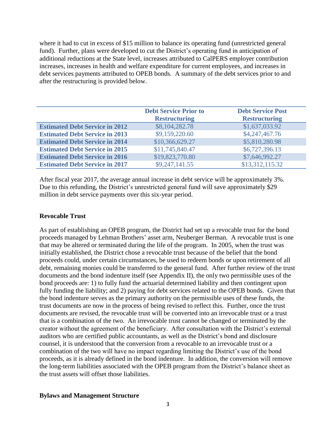where it had to cut in excess of \$15 million to balance its operating fund (unrestricted general fund). Further, plans were developed to cut the District's operating fund in anticipation of additional reductions at the State level, increases attributed to CalPERS employer contribution increases, increases in health and welfare expenditure for current employees, and increases in debt services payments attributed to OPEB bonds. A summary of the debt services prior to and after the restructuring is provided below.

|                                       | <b>Debt Service Prior to</b> | <b>Debt Service Post</b> |
|---------------------------------------|------------------------------|--------------------------|
|                                       | <b>Restructuring</b>         | <b>Restructuring</b>     |
| <b>Estimated Debt Service in 2012</b> | \$8,104,282.78               | \$1,637,033.92           |
| <b>Estimated Debt Service in 2013</b> | \$9,159,220.60               | \$4,247,467.76           |
| <b>Estimated Debt Service in 2014</b> | \$10,366,629.27              | \$5,810,280.98           |
| <b>Estimated Debt Service in 2015</b> | \$11,745,840.47              | \$6,727,396.13           |
| <b>Estimated Debt Service in 2016</b> | \$19,823,770.80              | \$7,646,992.27           |
| <b>Estimated Debt Service in 2017</b> | \$9,247,141.55               | \$13,312,115.32          |

After fiscal year 2017, the average annual increase in debt service will be approximately 3%. Due to this refunding, the District's unrestricted general fund will save approximately \$29 million in debt service payments over this six-year period.

#### **Revocable Trust**

As part of establishing an OPEB program, the District had set up a revocable trust for the bond proceeds managed by Lehman Brothers' asset arm, Neuberger Berman. A revocable trust is one that may be altered or terminated during the life of the program. In 2005, when the trust was initially established, the District chose a revocable trust because of the belief that the bond proceeds could, under certain circumstances, be used to redeem bonds or upon retirement of all debt, remaining monies could be transferred to the general fund. After further review of the trust documents and the bond indenture itself (see Appendix II), the only two permissible uses of the bond proceeds are: 1) to fully fund the actuarial determined liability and then contingent upon fully funding the liability; and 2) paying for debt services related to the OPEB bonds. Given that the bond indenture serves as the primary authority on the permissible uses of these funds, the trust documents are now in the process of being revised to reflect this. Further, once the trust documents are revised, the revocable trust will be converted into an irrevocable trust or a trust that is a combination of the two. An irrevocable trust cannot be changed or terminated by the creator without the agreement of the beneficiary. After consultation with the District's external auditors who are certified public accountants, as well as the District's bond and disclosure counsel, it is understood that the conversion from a revocable to an irrevocable trust or a combination of the two will have no impact regarding limiting the District's use of the bond proceeds, as it is already defined in the bond indenture. In addition, the conversion will remove the long-term liabilities associated with the OPEB program from the District's balance sheet as the trust assets will offset those liabilities.

#### **Bylaws and Management Structure**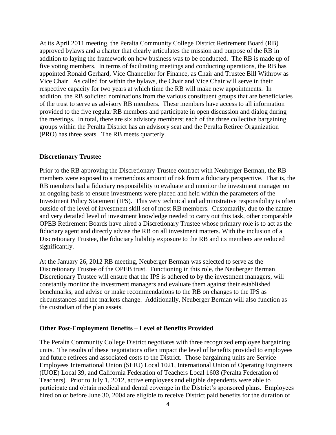At its April 2011 meeting, the Peralta Community College District Retirement Board (RB) approved bylaws and a charter that clearly articulates the mission and purpose of the RB in addition to laying the framework on how business was to be conducted. The RB is made up of five voting members. In terms of facilitating meetings and conducting operations, the RB has appointed Ronald Gerhard, Vice Chancellor for Finance, as Chair and Trustee Bill Withrow as Vice Chair. As called for within the bylaws, the Chair and Vice Chair will serve in their respective capacity for two years at which time the RB will make new appointments. In addition, the RB solicited nominations from the various constituent groups that are beneficiaries of the trust to serve as advisory RB members. These members have access to all information provided to the five regular RB members and participate in open discussion and dialog during the meetings. In total, there are six advisory members; each of the three collective bargaining groups within the Peralta District has an advisory seat and the Peralta Retiree Organization (PRO) has three seats. The RB meets quarterly.

#### **Discretionary Trustee**

Prior to the RB approving the Discretionary Trustee contract with Neuberger Berman, the RB members were exposed to a tremendous amount of risk from a fiduciary perspective. That is, the RB members had a fiduciary responsibility to evaluate and monitor the investment manager on an ongoing basis to ensure investments were placed and held within the parameters of the Investment Policy Statement (IPS). This very technical and administrative responsibility is often outside of the level of investment skill set of most RB members. Customarily, due to the nature and very detailed level of investment knowledge needed to carry out this task, other comparable OPEB Retirement Boards have hired a Discretionary Trustee whose primary role is to act as the fiduciary agent and directly advise the RB on all investment matters. With the inclusion of a Discretionary Trustee, the fiduciary liability exposure to the RB and its members are reduced significantly.

At the January 26, 2012 RB meeting, Neuberger Berman was selected to serve as the Discretionary Trustee of the OPEB trust. Functioning in this role, the Neuberger Berman Discretionary Trustee will ensure that the IPS is adhered to by the investment managers, will constantly monitor the investment managers and evaluate them against their established benchmarks, and advise or make recommendations to the RB on changes to the IPS as circumstances and the markets change. Additionally, Neuberger Berman will also function as the custodian of the plan assets.

#### **Other Post-Employment Benefits – Level of Benefits Provided**

The Peralta Community College District negotiates with three recognized employee bargaining units. The results of these negotiations often impact the level of benefits provided to employees and future retirees and associated costs to the District. Those bargaining units are Service Employees International Union (SEIU) Local 1021, International Union of Operating Engineers (IUOE) Local 39, and California Federation of Teachers Local 1603 (Peralta Federation of Teachers). Prior to July 1, 2012, active employees and eligible dependents were able to participate and obtain medical and dental coverage in the District's sponsored plans. Employees hired on or before June 30, 2004 are eligible to receive District paid benefits for the duration of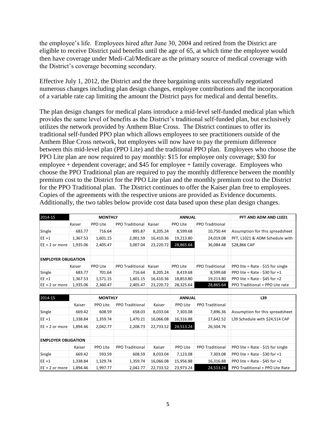the employee's life. Employees hired after June 30, 2004 and retired from the District are eligible to receive District paid benefits until the age of 65, at which time the employee would then have coverage under Medi-Cal/Medicare as the primary source of medical coverage with the District's coverage becoming secondary.

Effective July 1, 2012, the District and the three bargaining units successfully negotiated numerous changes including plan design changes, employee contributions and the incorporation of a variable rate cap limiting the amount the District pays for medical and dental benefits.

The plan design changes for medical plans introduce a mid-level self-funded medical plan which provides the same level of benefits as the District's traditional self-funded plan, but exclusively utilizes the network provided by Anthem Blue Cross. The District continues to offer its traditional self-funded PPO plan which allows employees to see practitioners outside of the Anthem Blue Cross network, but employees will now have to pay the premium difference between this mid-level plan (PPO Lite) and the traditional PPO plan. Employees who choose the PPO Lite plan are now required to pay monthly: \$15 for employee only coverage; \$30 for employee + dependent coverage; and \$45 for employee + family coverage. Employees who choose the PPO Traditional plan are required to pay the monthly difference between the monthly premium cost to the District for the PPO Lite plan and the monthly premium cost to the District for the PPO Traditional plan. The District continues to offer the Kaiser plan free to employees. Copies of the agreements with the respective unions are provided as Evidence documents. Additionally, the two tables below provide cost data based upon these plan design changes.

| 2014-15                    | <b>MONTHLY</b> |          |                        | <b>ANNUAL</b> |           |                        | PFT AND ADM AND L1021             |
|----------------------------|----------------|----------|------------------------|---------------|-----------|------------------------|-----------------------------------|
|                            | Kaiser         | PPO Lite | <b>PPO Traditional</b> | Kaiser        | PPO Lite  | PPO Traditional        |                                   |
| Single                     | 683.77         | 716.64   | 895.87                 | 8,205.24      | 8,599.68  | 10,750.44              | Assumption for this spreadsheet   |
| $EE + 1$                   | 1,367.53       | 1,601.15 | 2,001.59               | 16,410.36     | 19,213.80 | 24,019.08              | PFT, L1021 & ADM Schedule with    |
| $EE + 2$ or more           | 1,935.06       | 2,405.47 | 3,007.04               | 23,220.72     | 28,865.64 | 36,084.48              | \$28,866 CAP                      |
|                            |                |          |                        |               |           |                        |                                   |
| <b>EMPLOYER OBLIGATION</b> |                |          |                        |               |           |                        |                                   |
|                            | Kaiser         | PPO Lite | <b>PPO Traditional</b> | Kaiser        | PPO Lite  | <b>PPO Traditional</b> | PPO lite = Rate - \$15 for single |
| Single                     | 683.77         | 701.64   | 716.64                 | 8,205.24      | 8,419.68  | 8,599.68               | PPO lite = Rate - \$30 for $+1$   |
| $EE + 1$                   | 1,367.53       | 1,571.15 | 1,601.15               | 16,410.36     | 18,853.80 | 19,213.80              | PPO lite = Rate - \$45 for $+2$   |
| $EE + 2$ or more           | 1,935.06       | 2,360.47 | 2,405.47               | 23,220.72     | 28,325.64 | 28,865.64              | PPO Traditional = PPO Lite rate   |

| 2014-15                    | <b>MONTHLY</b> |          | <b>ANNUAL</b>          |           |           | L39                    |                                   |
|----------------------------|----------------|----------|------------------------|-----------|-----------|------------------------|-----------------------------------|
|                            | Kaiser         | PPO Lite | <b>PPO Traditional</b> | Kaiser    | PPO Lite  | <b>PPO Traditional</b> |                                   |
| Single                     | 669.42         | 608.59   | 658.03                 | 8,033.04  | 7,303.08  | 7,896.36               | Assumption for this spreadsheet   |
| $EE + 1$                   | 1,338.84       | 1,359.74 | 1,470.21               | 16,066.08 | 16,316.88 | 17,642.52              | L39 Schedule with \$24,514 CAP    |
| $EE + 2$ or more           | 1,894.46       | 2,042.77 | 2,208.73               | 22,733.52 | 24,513.24 | 26,504.76              |                                   |
|                            |                |          |                        |           |           |                        |                                   |
| <b>EMPLOYER OBLIGATION</b> |                |          |                        |           |           |                        |                                   |
|                            | Kaiser         | PPO Lite | <b>PPO Traditional</b> | Kaiser    | PPO Lite  | <b>PPO Traditional</b> | PPO lite = Rate - \$15 for single |
| Single                     | 669.42         | 593.59   | 608.59                 | 8,033.04  | 7,123.08  | 7,303.08               | PPO lite = Rate - \$30 for $+1$   |
| $EE + 1$                   | 1,338.84       | 1,329.74 | 1,359.74               | 16,066.08 | 15,956.88 | 16,316.88              | PPO lite = Rate - \$45 for $+2$   |
| $EE + 2$ or more           | 1.894.46       | 1,997.77 | 2.042.77               | 22,733.52 | 23.973.24 | 24,513.24              | PPO Traditional = PPO Lite Rate   |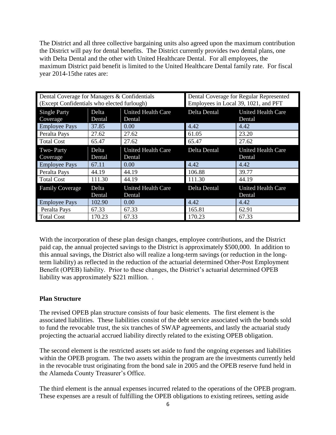The District and all three collective bargaining units also agreed upon the maximum contribution the District will pay for dental benefits. The District currently provides two dental plans, one with Delta Dental and the other with United Healthcare Dental. For all employees, the maximum District paid benefit is limited to the United Healthcare Dental family rate. For fiscal year 2014-15the rates are:

| Dental Coverage for Managers & Confidentials<br>(Except Confidentials who elected furlough) |                 |                                                     | Dental Coverage for Regular Represented<br>Employees in Local 39, 1021, and PFT |                                     |  |
|---------------------------------------------------------------------------------------------|-----------------|-----------------------------------------------------|---------------------------------------------------------------------------------|-------------------------------------|--|
| <b>Single Party</b><br>Coverage                                                             | Delta<br>Dental | <b>United Health Care</b><br>Delta Dental<br>Dental |                                                                                 | <b>United Health Care</b><br>Dental |  |
| <b>Employee Pays</b>                                                                        | 37.85           | 0.00                                                | 4.42                                                                            | 4.42                                |  |
| Peralta Pays                                                                                | 27.62           | 27.62                                               | 61.05                                                                           | 23.20                               |  |
| <b>Total Cost</b>                                                                           | 65.47           | 27.62                                               | 65.47                                                                           | 27.62                               |  |
| Two-Party<br>Coverage                                                                       | Delta<br>Dental | <b>United Health Care</b><br>Dental                 | Delta Dental                                                                    | <b>United Health Care</b><br>Dental |  |
| <b>Employee Pays</b>                                                                        | 67.11           | 0.00                                                | 4.42                                                                            | 4.42                                |  |
| Peralta Pays                                                                                | 44.19           | 44.19                                               | 106.88                                                                          | 39.77                               |  |
| <b>Total Cost</b>                                                                           | 111.30          | 44.19                                               | 111.30                                                                          | 44.19                               |  |
| <b>Family Coverage</b>                                                                      | Delta<br>Dental | <b>United Health Care</b><br>Dental                 | Delta Dental                                                                    | <b>United Health Care</b><br>Dental |  |
| <b>Employee Pays</b>                                                                        | 102.90          | 0.00                                                | 4.42                                                                            | 4.42                                |  |
| Peralta Pays                                                                                | 67.33           | 67.33                                               | 165.81                                                                          | 62.91                               |  |
| <b>Total Cost</b>                                                                           | 170.23          | 67.33                                               | 170.23                                                                          | 67.33                               |  |

With the incorporation of these plan design changes, employee contributions, and the District paid cap, the annual projected savings to the District is approximately \$500,000. In addition to this annual savings, the District also will realize a long-term savings (or reduction in the longterm liability) as reflected in the reduction of the actuarial determined Other-Post Employment Benefit (OPEB) liability. Prior to these changes, the District's actuarial determined OPEB liability was approximately \$221 million. .

# **Plan Structure**

The revised OPEB plan structure consists of four basic elements. The first element is the associated liabilities. These liabilities consist of the debt service associated with the bonds sold to fund the revocable trust, the six tranches of SWAP agreements, and lastly the actuarial study projecting the actuarial accrued liability directly related to the existing OPEB obligation.

The second element is the restricted assets set aside to fund the ongoing expenses and liabilities within the OPEB program. The two assets within the program are the investments currently held in the revocable trust originating from the bond sale in 2005 and the OPEB reserve fund held in the Alameda County Treasurer's Office.

The third element is the annual expenses incurred related to the operations of the OPEB program. These expenses are a result of fulfilling the OPEB obligations to existing retirees, setting aside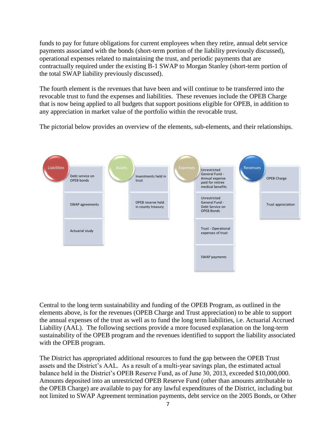funds to pay for future obligations for current employees when they retire, annual debt service payments associated with the bonds (short-term portion of the liability previously discussed), operational expenses related to maintaining the trust, and periodic payments that are contractually required under the existing B-1 SWAP to Morgan Stanley (short-term portion of the total SWAP liability previously discussed).

The fourth element is the revenues that have been and will continue to be transferred into the revocable trust to fund the expenses and liabilities. These revenues include the OPEB Charge that is now being applied to all budgets that support positions eligible for OPEB, in addition to any appreciation in market value of the portfolio within the revocable trust.

The pictorial below provides an overview of the elements, sub-elements, and their relationships.



Central to the long term sustainability and funding of the OPEB Program, as outlined in the elements above, is for the revenues (OPEB Charge and Trust appreciation) to be able to support the annual expenses of the trust as well as to fund the long term liabilities, i.e. Actuarial Accrued Liability (AAL). The following sections provide a more focused explanation on the long-term sustainability of the OPEB program and the revenues identified to support the liability associated with the OPEB program.

The District has appropriated additional resources to fund the gap between the OPEB Trust assets and the District's AAL. As a result of a multi-year savings plan, the estimated actual balance held in the District's OPEB Reserve Fund, as of June 30, 2013, exceeded \$10,000,000. Amounts deposited into an unrestricted OPEB Reserve Fund (other than amounts attributable to the OPEB Charge) are available to pay for any lawful expenditures of the District, including but not limited to SWAP Agreement termination payments, debt service on the 2005 Bonds, or Other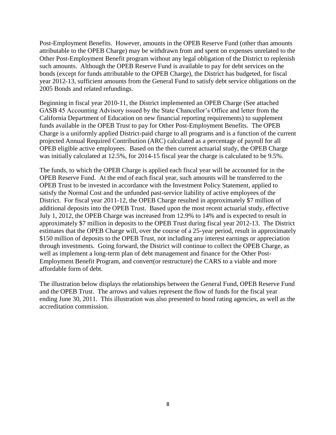Post-Employment Benefits. However, amounts in the OPEB Reserve Fund (other than amounts attributable to the OPEB Charge) may be withdrawn from and spent on expenses unrelated to the Other Post-Employment Benefit program without any legal obligation of the District to replenish such amounts. Although the OPEB Reserve Fund is available to pay for debt services on the bonds (except for funds attributable to the OPEB Charge), the District has budgeted, for fiscal year 2012-13, sufficient amounts from the General Fund to satisfy debt service obligations on the 2005 Bonds and related refundings.

Beginning in fiscal year 2010-11, the District implemented an OPEB Charge (See attached GASB 45 Accounting Advisory issued by the State Chancellor's Office and letter from the California Department of Education on new financial reporting requirements) to supplement funds available in the OPEB Trust to pay for Other Post-Employment Benefits. The OPEB Charge is a uniformly applied District-paid charge to all programs and is a function of the current projected Annual Required Contribution (ARC) calculated as a percentage of payroll for all OPEB eligible active employees. Based on the then current actuarial study, the OPEB Charge was initially calculated at 12.5%, for 2014-15 fiscal year the charge is calculated to be 9.5%.

The funds, to which the OPEB Charge is applied each fiscal year will be accounted for in the OPEB Reserve Fund. At the end of each fiscal year, such amounts will be transferred to the OPEB Trust to be invested in accordance with the Investment Policy Statement, applied to satisfy the Normal Cost and the unfunded past-service liability of active employees of the District. For fiscal year 2011-12, the OPEB Charge resulted in approximately \$7 million of additional deposits into the OPEB Trust. Based upon the most recent actuarial study, effective July 1, 2012, the OPEB Charge was increased from 12.9% to 14% and is expected to result in approximately \$7 million in deposits to the OPEB Trust during fiscal year 2012-13. The District estimates that the OPEB Charge will, over the course of a 25-year period, result in approximately \$150 million of deposits to the OPEB Trust, not including any interest earnings or appreciation through investments. Going forward, the District will continue to collect the OPEB Charge, as well as implement a long-term plan of debt management and finance for the Other Post-Employment Benefit Program, and convert(or restructure) the CARS to a viable and more affordable form of debt.

The illustration below displays the relationships between the General Fund, OPEB Reserve Fund and the OPEB Trust. The arrows and values represent the flow of funds for the fiscal year ending June 30, 2011. This illustration was also presented to bond rating agencies, as well as the accreditation commission.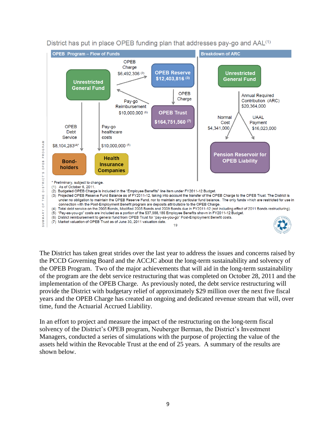

District has put in place OPEB funding plan that addresses pay-go and AAL<sup>(1)</sup>

The District has taken great strides over the last year to address the issues and concerns raised by the PCCD Governing Board and the ACCJC about the long-term sustainability and solvency of the OPEB Program. Two of the major achievements that will aid in the long-term sustainability of the program are the debt service restructuring that was completed on October 28, 2011 and the implementation of the OPEB Charge. As previously noted, the debt service restructuring will provide the District with budgetary relief of approximately \$29 million over the next five fiscal years and the OPEB Charge has created an ongoing and dedicated revenue stream that will, over time, fund the Actuarial Accrued Liability.

In an effort to project and measure the impact of the restructuring on the long-term fiscal solvency of the District's OPEB program, Neuberger Berman, the District's Investment Managers, conducted a series of simulations with the purpose of projecting the value of the assets held within the Revocable Trust at the end of 25 years. A summary of the results are shown below.